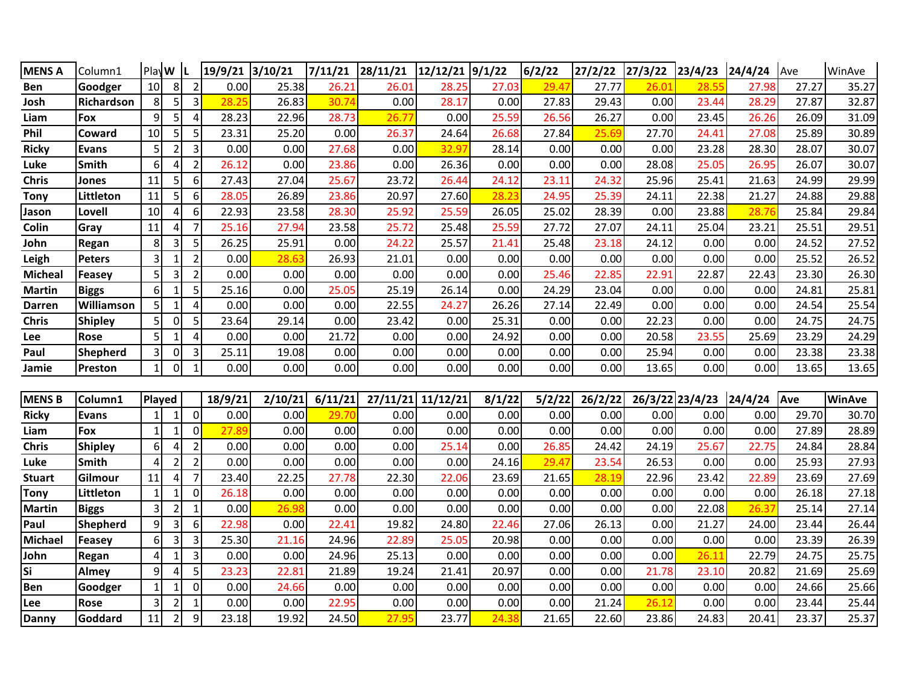| <b>MENS A</b>  | Column1        | PlayW          |                |                | 19/9/21 3/10/21 |         | 7/11/21 | 28/11/21 | 12/12/21 | 9/1/22 | 6/2/22 | 27/2/22 | 27/3/22 | 23/4/23 | 24/4/24 | Ave   | WinAve        |
|----------------|----------------|----------------|----------------|----------------|-----------------|---------|---------|----------|----------|--------|--------|---------|---------|---------|---------|-------|---------------|
| Ben            | Goodger        | 10             | 8              | $\overline{2}$ | 0.00            | 25.38   | 26.21   | 26.01    | 28.25    | 27.03  | 29.47  | 27.77   | 26.01   | 28.55   | 27.98   | 27.27 | 35.27         |
| Josh           | Richardson     | 8              | 5              | 3              | 28.25           | 26.83   | 30.74   | 0.00     | 28.17    | 0.00   | 27.83  | 29.43   | 0.00    | 23.44   | 28.29   | 27.87 | 32.87         |
| Liam           | Fox            | 9              | 5              | $\overline{4}$ | 28.23           | 22.96   | 28.73   | 26.77    | 0.00     | 25.59  | 26.56  | 26.27   | 0.00    | 23.45   | 26.26   | 26.09 | 31.09         |
| Phil           | Coward         | 10             | 5              | 5              | 23.31           | 25.20   | 0.00    | 26.37    | 24.64    | 26.68  | 27.84  | 25.69   | 27.70   | 24.41   | 27.08   | 25.89 | 30.89         |
| <b>Ricky</b>   | <b>Evans</b>   |                | $\mathcal{P}$  | 3              | 0.00            | 0.00    | 27.68   | 0.00     | 32.97    | 28.14  | 0.00   | 0.00    | 0.00    | 23.28   | 28.30   | 28.07 | 30.07         |
| Luke           | <b>Smith</b>   | 6              | 4              | $\overline{2}$ | 26.12           | 0.00    | 23.86   | 0.00     | 26.36    | 0.00   | 0.00   | 0.00    | 28.08   | 25.05   | 26.95   | 26.07 | 30.07         |
| <b>Chris</b>   | Jones          | 11             | 5              | 6              | 27.43           | 27.04   | 25.67   | 23.72    | 26.44    | 24.12  | 23.11  | 24.32   | 25.96   | 25.41   | 21.63   | 24.99 | 29.99         |
| <b>Tony</b>    | Littleton      | 11             | 5              | 6              | 28.05           | 26.89   | 23.86   | 20.97    | 27.60    | 28.23  | 24.95  | 25.39   | 24.11   | 22.38   | 21.27   | 24.88 | 29.88         |
| Jason          | Lovell         | 10             | 4              | 6              | 22.93           | 23.58   | 28.30   | 25.92    | 25.59    | 26.05  | 25.02  | 28.39   | 0.00    | 23.88   | 28.76   | 25.84 | 29.84         |
| Colin          | Gray           | 11             | 4              | $\overline{7}$ | 25.16           | 27.94   | 23.58   | 25.72    | 25.48    | 25.59  | 27.72  | 27.07   | 24.11   | 25.04   | 23.21   | 25.51 | 29.51         |
| John           | Regan          | 8              | 3              | 5              | 26.25           | 25.91   | 0.00    | 24.22    | 25.57    | 21.41  | 25.48  | 23.18   | 24.12   | 0.00    | 0.00    | 24.52 | 27.52         |
| Leigh          | Peters         | 3              | $\mathbf{1}$   | $\overline{2}$ | 0.00            | 28.63   | 26.93   | 21.01    | 0.00     | 0.00   | 0.00   | 0.00    | 0.00    | 0.00    | 0.00    | 25.52 | 26.52         |
| <b>Micheal</b> | Feasey         | 5 <sup>1</sup> | 3              | $\overline{2}$ | 0.00            | 0.00    | 0.00    | 0.00     | 0.00     | 0.00   | 25.46  | 22.85   | 22.91   | 22.87   | 22.43   | 23.30 | 26.30         |
| <b>Martin</b>  | <b>Biggs</b>   | 6              | 1              | 5              | 25.16           | 0.00    | 25.05   | 25.19    | 26.14    | 0.00   | 24.29  | 23.04   | 0.00    | 0.00    | 0.00    | 24.81 | 25.81         |
| Darren         | Williamson     |                | 1              | $\overline{4}$ | 0.00            | 0.00    | 0.00    | 22.55    | 24.27    | 26.26  | 27.14  | 22.49   | 0.00    | 0.00    | 0.00    | 24.54 | 25.54         |
| <b>Chris</b>   | <b>Shipley</b> |                | $\Omega$       | 5              | 23.64           | 29.14   | 0.00    | 23.42    | 0.00     | 25.31  | 0.00   | 0.00    | 22.23   | 0.00    | 0.00    | 24.75 | 24.75         |
| Lee            | <b>Rose</b>    |                | 1              | 4              | 0.00            | 0.00    | 21.72   | 0.00     | 0.00     | 24.92  | 0.00   | 0.00    | 20.58   | 23.55   | 25.69   | 23.29 | 24.29         |
| Paul           | Shepherd       |                | $\mathbf 0$    | 3              | 25.11           | 19.08   | 0.00    | 0.00     | 0.00     | 0.00   | 0.00   | 0.00    | 25.94   | 0.00    | 0.00    | 23.38 | 23.38         |
| Jamie          | Preston        |                | $\mathbf 0$    | $\mathbf{1}$   | 0.00            | 0.00    | 0.00    | 0.00     | 0.00     | 0.00   | 0.00   | 0.00    | 13.65   | 0.00    | 0.00    | 13.65 | 13.65         |
|                |                |                |                |                |                 |         |         |          |          |        |        |         |         |         |         |       |               |
| <b>MENS B</b>  | Column1        | Played         |                |                | 18/9/21         | 2/10/21 | 6/11/21 | 27/11/21 | 11/12/21 | 8/1/22 | 5/2/22 | 26/2/22 | 26/3/22 | 23/4/23 | 24/4/24 | Ave   | <b>WinAve</b> |
| <b>Ricky</b>   | <b>Evans</b>   |                | 1              | $\Omega$       | 0.00            | 0.00    | 29.70   | 0.00     | 0.00     | 0.00   | 0.00   | 0.00    | 0.00    | 0.00    | 0.00    | 29.70 | 30.70         |
| Liam           | Fox            |                | 1              | $\overline{0}$ | 27.89           | 0.00    | 0.00    | 0.00     | 0.00     | 0.00   | 0.00   | 0.00    | 0.00    | 0.00    | 0.00    | 27.89 | 28.89         |
| <b>Chris</b>   | <b>Shipley</b> | 6              | 4              | $\overline{2}$ | 0.00            | 0.00    | 0.00    | 0.00     | 25.14    | 0.00   | 26.85  | 24.42   | 24.19   | 25.67   | 22.75   | 24.84 | 28.84         |
| Luke           | Smith          | 4              | $\overline{2}$ | $\overline{2}$ | 0.00            | 0.00    | 0.00    | 0.00     | 0.00     | 24.16  | 29.47  | 23.54   | 26.53   | 0.00    | 0.00    | 25.93 | 27.93         |
| <b>Stuart</b>  | Gilmour        | 11             | 4              | $\overline{7}$ | 23.40           | 22.25   | 27.78   | 22.30    | 22.06    | 23.69  | 21.65  | 28.19   | 22.96   | 23.42   | 22.89   | 23.69 | 27.69         |
| <b>Tony</b>    | Littleton      |                | 1              | $\overline{0}$ | 26.18           | 0.00    | 0.00    | 0.00     | 0.00     | 0.00   | 0.00   | 0.00    | 0.00    | 0.00    | 0.00    | 26.18 | 27.18         |
| <b>Martin</b>  | <b>Biggs</b>   |                | $\mathcal{P}$  | $\mathbf 1$    | 0.00            | 26.98   | 0.00    | 0.00     | 0.00     | 0.00   | 0.00   | 0.00    | 0.00    | 22.08   | 26.37   | 25.14 | 27.14         |
| Paul           | Shepherd       | 9              | 3              | 6              | 22.98           | 0.00    | 22.41   | 19.82    | 24.80    | 22.46  | 27.06  | 26.13   | 0.00    | 21.27   | 24.00   | 23.44 | 26.44         |
| <b>Michael</b> | Feasey         | 6              | 3              | 3              | 25.30           | 21.16   | 24.96   | 22.89    | 25.05    | 20.98  | 0.00   | 0.00    | 0.00    | 0.00    | 0.00    | 23.39 | 26.39         |
| John           | Regan          | 4              |                | 3              | 0.00            | 0.00    | 24.96   | 25.13    | 0.00     | 0.00   | 0.00   | 0.00    | 0.00    | 26.11   | 22.79   | 24.75 | 25.75         |
| Si             | Almey          | 9              | 4              | 5              | 23.23           | 22.81   | 21.89   | 19.24    | 21.41    | 20.97  | 0.00   | 0.00    | 21.78   | 23.10   | 20.82   | 21.69 | 25.69         |
| Ben            | Goodger        |                | 1              | $\overline{0}$ | 0.00            | 24.66   | 0.00    | 0.00     | 0.00     | 0.00   | 0.00   | 0.00    | 0.00    | 0.00    | 0.00    | 24.66 | 25.66         |
| Lee            | <b>Rose</b>    |                | $\mathcal{P}$  |                | 0.00            | 0.00    | 22.95   | 0.00     | 0.00     | 0.00   | 0.00   | 21.24   | 26.12   | 0.00    | 0.00    | 23.44 | 25.44         |
| Danny          | Goddard        | 11             | $\overline{2}$ | 9              | 23.18           | 19.92   | 24.50   | 27.95    | 23.77    | 24.38  | 21.65  | 22.60   | 23.86   | 24.83   | 20.41   | 23.37 | 25.37         |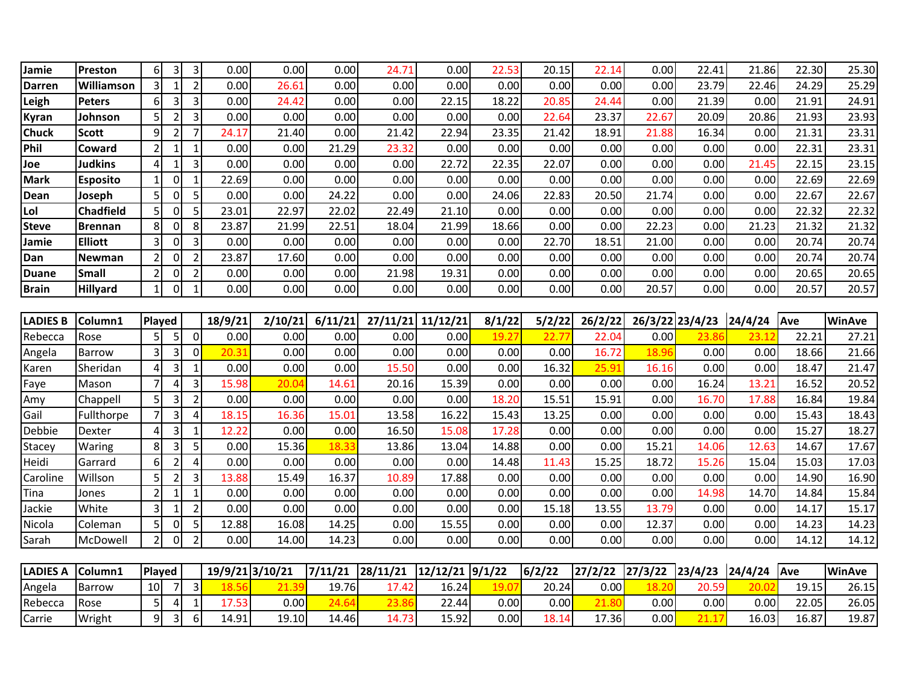| Jamie           | Preston           | 6              | 3              | 3                        | 0.00    | 0.00            | 0.00    | 24.71    | 0.00     | 22.53  | 20.15  | 22.14   | 0.00    | 22.41   | 21.86   | 22.30 | 25.30         |
|-----------------|-------------------|----------------|----------------|--------------------------|---------|-----------------|---------|----------|----------|--------|--------|---------|---------|---------|---------|-------|---------------|
| <b>Darren</b>   | Williamson        |                | 1              | $\overline{2}$           | 0.00    | 26.61           | 0.00    | 0.00     | 0.00     | 0.00   | 0.00   | 0.00    | 0.00    | 23.79   | 22.46   | 24.29 | 25.29         |
| Leigh           | <b>Peters</b>     | 6              | 3              | 3                        | 0.00    | 24.42           | 0.00    | 0.00     | 22.15    | 18.22  | 20.85  | 24.44   | 0.00    | 21.39   | 0.00    | 21.91 | 24.91         |
| <b>Kyran</b>    | Johnson           | 5              | $\overline{2}$ | 3                        | 0.00    | 0.00            | 0.00    | 0.00     | 0.00     | 0.00   | 22.64  | 23.37   | 22.67   | 20.09   | 20.86   | 21.93 | 23.93         |
| <b>Chuck</b>    | <b>Scott</b>      | 9              | $\overline{2}$ | $\overline{7}$           | 24.17   | 21.40           | 0.00    | 21.42    | 22.94    | 23.35  | 21.42  | 18.91   | 21.88   | 16.34   | 0.00    | 21.31 | 23.31         |
| Phil            | <b>Coward</b>     |                | $\mathbf{1}$   | $\mathbf{1}$             | 0.00    | 0.00            | 21.29   | 23.32    | 0.00     | 0.00   | 0.00   | 0.00    | 0.00    | 0.00    | 0.00    | 22.31 | 23.31         |
| Joe             | <b>Judkins</b>    | $\overline{A}$ | $\mathbf{1}$   | 3                        | 0.00    | 0.00            | 0.00    | 0.00     | 22.72    | 22.35  | 22.07  | 0.00    | 0.00    | 0.00    | 21.45   | 22.15 | 23.15         |
| <b>Mark</b>     | <b>Esposito</b>   |                | 0              | $\overline{\mathbf{1}}$  | 22.69   | 0.00            | 0.00    | 0.00     | 0.00     | 0.00   | 0.00   | 0.00    | 0.00    | 0.00    | 0.00    | 22.69 | 22.69         |
| Dean            | Joseph            | 5              | $\mathbf 0$    | 5                        | 0.00    | 0.00            | 24.22   | 0.00     | 0.00     | 24.06  | 22.83  | 20.50   | 21.74   | 0.00    | 0.00    | 22.67 | 22.67         |
| Lol             | <b>Chadfield</b>  | 5              | $\mathbf 0$    | 5                        | 23.01   | 22.97           | 22.02   | 22.49    | 21.10    | 0.00   | 0.00   | 0.00    | 0.00    | 0.00    | 0.00    | 22.32 | 22.32         |
| <b>Steve</b>    | Brennan           | 8              | 0              | 8                        | 23.87   | 21.99           | 22.51   | 18.04    | 21.99    | 18.66  | 0.00   | 0.00    | 22.23   | 0.00    | 21.23   | 21.32 | 21.32         |
| Jamie           | <b>Elliott</b>    |                | $\Omega$       | 3                        | 0.00    | 0.00            | 0.00    | 0.00     | 0.00     | 0.00   | 22.70  | 18.51   | 21.00   | 0.00    | 0.00    | 20.74 | 20.74         |
| Dan             | Newman            |                | $\Omega$       | $\overline{2}$           | 23.87   | 17.60           | 0.00    | 0.00     | 0.00     | 0.00   | 0.00   | 0.00    | 0.00    | 0.00    | 0.00    | 20.74 | 20.74         |
| <b>Duane</b>    | <b>Small</b>      |                | 0              | 2                        | 0.00    | 0.00            | 0.00    | 21.98    | 19.31    | 0.00   | 0.00   | 0.00    | 0.00    | 0.00    | 0.00    | 20.65 | 20.65         |
| <b>Brain</b>    | <b>Hillyard</b>   |                | 0              | $\overline{\phantom{a}}$ | 0.00    | 0.00            | 0.00    | 0.00     | 0.00     | 0.00   | 0.00   | 0.00    | 20.57   | 0.00    | 0.00    | 20.57 | 20.57         |
|                 |                   |                |                |                          |         |                 |         |          |          |        |        |         |         |         |         |       |               |
| <b>LADIES B</b> | Column1           | Played         |                |                          | 18/9/21 | 2/10/21         | 6/11/21 | 27/11/21 | 11/12/21 | 8/1/22 | 5/2/22 | 26/2/22 | 26/3/22 | 23/4/23 | 24/4/24 | Ave   | <b>WinAve</b> |
| Rebecca         | Rose              |                | 5              | $\overline{0}$           | 0.00    | 0.00            | 0.00    | 0.00     | 0.00     | 19.27  | 22.77  | 22.04   | 0.00    | 23.86   | 23.12   | 22.21 | 27.21         |
| Angela          | Barrow            | $\overline{3}$ | 3              | $\Omega$                 | 20.31   | 0.00            | 0.00    | 0.00     | 0.00     | 0.00   | 0.00   | 16.72   | 18.96   | 0.00    | 0.00    | 18.66 | 21.66         |
| Karen           | Sheridan          | 4              | 3              | $\mathbf{1}$             | 0.00    | 0.00            | 0.00    | 15.50    | 0.00     | 0.00   | 16.32  | 25.91   | 16.16   | 0.00    | 0.00    | 18.47 | 21.47         |
| Faye            | Mason             | $\overline{7}$ | 4              | 3                        | 15.98   | 20.04           | 14.61   | 20.16    | 15.39    | 0.00   | 0.00   | 0.00    | 0.00    | 16.24   | 13.21   | 16.52 | 20.52         |
| Amy             | Chappell          | 5              | 3              | $\overline{2}$           | 0.00    | 0.00            | 0.00    | 0.00     | 0.00     | 18.20  | 15.51  | 15.91   | 0.00    | 16.70   | 17.88   | 16.84 | 19.84         |
| Gail            | Fullthorpe        | 7              | 3              | 4                        | 18.15   | 16.36           | 15.01   | 13.58    | 16.22    | 15.43  | 13.25  | 0.00    | 0.00    | 0.00    | 0.00    | 15.43 | 18.43         |
| Debbie          | Dexter            | 4              | 3              | $\mathbf{1}$             | 12.22   | 0.00            | 0.00    | 16.50    | 15.08    | 17.28  | 0.00   | 0.00    | 0.00    | 0.00    | 0.00    | 15.27 | 18.27         |
| Stacey          | Waring            | 8              | 3              | 5                        | 0.00    | 15.36           | 18.33   | 13.86    | 13.04    | 14.88  | 0.00   | 0.00    | 15.21   | 14.06   | 12.63   | 14.67 | 17.67         |
| Heidi           | Garrard           | 6              | $\overline{2}$ | 4                        | 0.00    | 0.00            | 0.00    | 0.00     | 0.00     | 14.48  | 11.43  | 15.25   | 18.72   | 15.26   | 15.04   | 15.03 | 17.03         |
| Caroline        | Willson           |                | $\overline{2}$ | 3                        | 13.88   | 15.49           | 16.37   | 10.89    | 17.88    | 0.00   | 0.00   | 0.00    | 0.00    | 0.00    | 0.00    | 14.90 | 16.90         |
| Tina            | Jones             |                | 1              | $\mathbf{1}$             | 0.00    | 0.00            | 0.00    | 0.00     | 0.00     | 0.00   | 0.00   | 0.00    | 0.00    | 14.98   | 14.70   | 14.84 | 15.84         |
| Jackie          | White             |                | 1              | $\overline{\phantom{a}}$ | 0.00    | 0.00            | 0.00    | 0.00     | 0.00     | 0.00   | 15.18  | 13.55   | 13.79   | 0.00    | 0.00    | 14.17 | 15.17         |
| Nicola          | Coleman           | $\overline{5}$ | 0              | 5                        | 12.88   | 16.08           | 14.25   | 0.00     | 15.55    | 0.00   | 0.00   | 0.00    | 12.37   | 0.00    | 0.00    | 14.23 | 14.23         |
| Sarah           | McDowell          | $\overline{2}$ | $\mathbf 0$    | $\overline{2}$           | 0.00    | 14.00           | 14.23   | 0.00     | 0.00     | 0.00   | 0.00   | 0.00    | 0.00    | 0.00    | 0.00    | 14.12 | 14.12         |
|                 |                   |                |                |                          |         |                 |         |          |          |        |        |         |         |         |         |       |               |
| <b>LADIES A</b> | Column1<br>Played |                |                |                          |         | 19/9/21 3/10/21 | 7/11/21 | 28/11/21 | 12/12/21 | 9/1/22 | 6/2/22 | 27/2/22 | 27/3/22 | 23/4/23 | 24/4/24 | Ave   | <b>WinAve</b> |
| Angela          | <b>Barrow</b>     | 10             | 7              | 3                        | 18.56   | 21.39           | 19.76   | 17.42    | 16.24    | 19.0   | 20.24  | 0.00    | 18.20   | 20.59   | 20.02   | 19.15 | 26.15         |
| Rebecca         | Rose              | 5              | 4              | $\mathbf{1}$             | 17.53   | 0.00            | 24.64   | 23.86    | 22.44    | 0.00   | 0.00   | 21.80   | 0.00    | 0.00    | 0.00    | 22.05 | 26.05         |
| Carrie          | Wright            | $\overline{9}$ | 3              | 6                        | 14.91   | 19.10           | 14.46   | 14.73    | 15.92    | 0.00   | 18.14  | 17.36   | 0.00    | 21.17   | 16.03   | 16.87 | 19.87         |